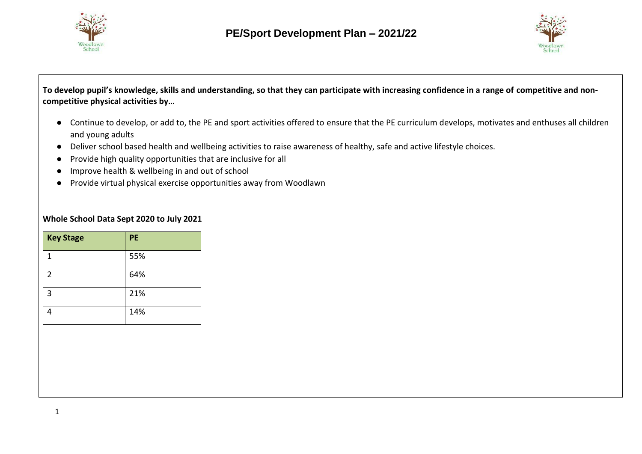



**To develop pupil's knowledge, skills and understanding, so that they can participate with increasing confidence in a range of competitive and noncompetitive physical activities by…**

- Continue to develop, or add to, the PE and sport activities offered to ensure that the PE curriculum develops, motivates and enthuses all children and young adults
- Deliver school based health and wellbeing activities to raise awareness of healthy, safe and active lifestyle choices.
- Provide high quality opportunities that are inclusive for all
- Improve health & wellbeing in and out of school
- Provide virtual physical exercise opportunities away from Woodlawn

### **Whole School Data Sept 2020 to July 2021**

| <b>Key Stage</b> | PE  |
|------------------|-----|
| 1                | 55% |
| 2                | 64% |
| 3                | 21% |
| Λ                | 14% |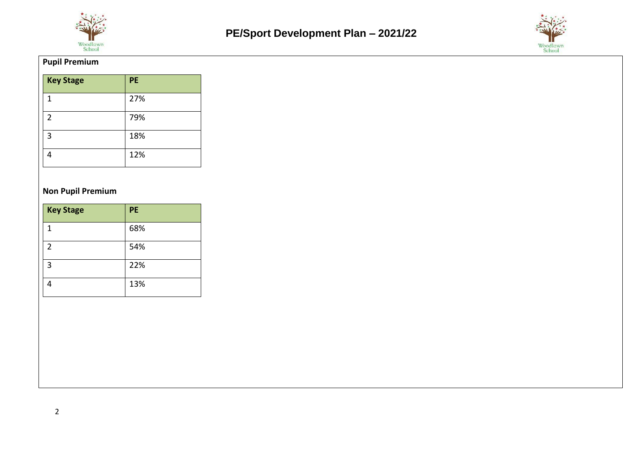



### **Pupil Premium**

| <b>Key Stage</b> | <b>PE</b> |
|------------------|-----------|
| 1                | 27%       |
| $\overline{2}$   | 79%       |
| 3                | 18%       |
|                  | 12%       |

### **Non Pupil Premium**

| <b>Key Stage</b> | <b>PE</b> |
|------------------|-----------|
| 1                | 68%       |
| 2                | 54%       |
| 3                | 22%       |
|                  | 13%       |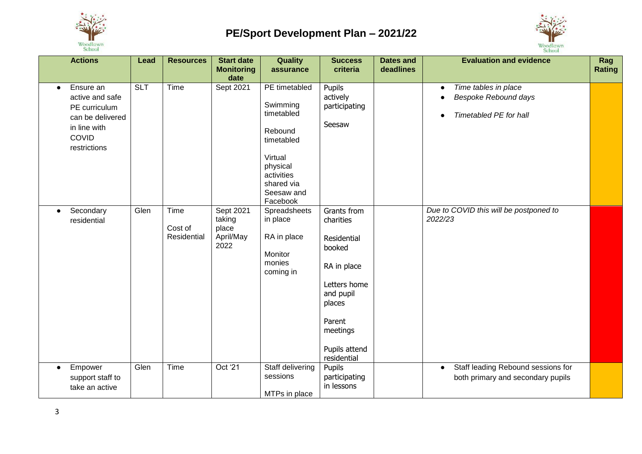



| <b>Actions</b>                                                                                                          | Lead       | <b>Resources</b>               | <b>Start date</b><br><b>Monitoring</b><br>date    | Quality<br>assurance                                                                                                                          | <b>Success</b><br>criteria                                                                                                                                    | <b>Dates and</b><br>deadlines | <b>Evaluation and evidence</b>                                                       | Rag<br><b>Rating</b> |
|-------------------------------------------------------------------------------------------------------------------------|------------|--------------------------------|---------------------------------------------------|-----------------------------------------------------------------------------------------------------------------------------------------------|---------------------------------------------------------------------------------------------------------------------------------------------------------------|-------------------------------|--------------------------------------------------------------------------------------|----------------------|
| Ensure an<br>$\bullet$<br>active and safe<br>PE curriculum<br>can be delivered<br>in line with<br>COVID<br>restrictions | <b>SLT</b> | Time                           | Sept 2021                                         | PE timetabled<br>Swimming<br>timetabled<br>Rebound<br>timetabled<br>Virtual<br>physical<br>activities<br>shared via<br>Seesaw and<br>Facebook | Pupils<br>actively<br>participating<br>Seesaw                                                                                                                 |                               | Time tables in place<br>Bespoke Rebound days<br>Timetabled PE for hall               |                      |
| Secondary<br>$\bullet$<br>residential                                                                                   | Glen       | Time<br>Cost of<br>Residential | Sept 2021<br>taking<br>place<br>April/May<br>2022 | Spreadsheets<br>in place<br>RA in place<br>Monitor<br>monies<br>coming in                                                                     | Grants from<br>charities<br>Residential<br>booked<br>RA in place<br>Letters home<br>and pupil<br>places<br>Parent<br>meetings<br>Pupils attend<br>residential |                               | Due to COVID this will be postponed to<br>2022/23                                    |                      |
| Empower<br>$\bullet$<br>support staff to<br>take an active                                                              | Glen       | Time                           | Oct '21                                           | Staff delivering<br>sessions<br>MTPs in place                                                                                                 | Pupils<br>participating<br>in lessons                                                                                                                         |                               | Staff leading Rebound sessions for<br>$\bullet$<br>both primary and secondary pupils |                      |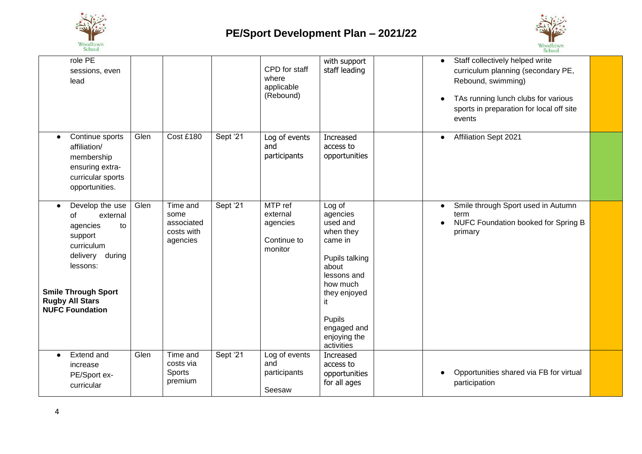



| role PE<br>sessions, even<br>lead                                                                                                                                                                             |      |                                                          |          | CPD for staff<br>where<br>applicable<br>(Rebound)         | with support<br>staff leading                                                                                                                                                             | Staff collectively helped write<br>$\bullet$<br>curriculum planning (secondary PE,<br>Rebound, swimming)<br>TAs running lunch clubs for various<br>sports in preparation for local off site<br>events |  |
|---------------------------------------------------------------------------------------------------------------------------------------------------------------------------------------------------------------|------|----------------------------------------------------------|----------|-----------------------------------------------------------|-------------------------------------------------------------------------------------------------------------------------------------------------------------------------------------------|-------------------------------------------------------------------------------------------------------------------------------------------------------------------------------------------------------|--|
| Continue sports<br>$\bullet$<br>affiliation/<br>membership<br>ensuring extra-<br>curricular sports<br>opportunities.                                                                                          | Glen | Cost £180                                                | Sept '21 | Log of events<br>and<br>participants                      | Increased<br>access to<br>opportunities                                                                                                                                                   | Affiliation Sept 2021<br>$\bullet$                                                                                                                                                                    |  |
| Develop the use<br>$\bullet$<br>external<br>οf<br>agencies<br>to<br>support<br>curriculum<br>delivery<br>during<br>lessons:<br><b>Smile Through Sport</b><br><b>Rugby All Stars</b><br><b>NUFC Foundation</b> | Glen | Time and<br>some<br>associated<br>costs with<br>agencies | Sept '21 | MTP ref<br>external<br>agencies<br>Continue to<br>monitor | Log of<br>agencies<br>used and<br>when they<br>came in<br>Pupils talking<br>about<br>lessons and<br>how much<br>they enjoyed<br>it<br>Pupils<br>engaged and<br>enjoying the<br>activities | Smile through Sport used in Autumn<br>term<br>NUFC Foundation booked for Spring B<br>primary                                                                                                          |  |
| Extend and<br>$\bullet$<br>increase<br>PE/Sport ex-<br>curricular                                                                                                                                             | Glen | Time and<br>costs via<br>Sports<br>premium               | Sept '21 | Log of events<br>and<br>participants<br>Seesaw            | Increased<br>access to<br>opportunities<br>for all ages                                                                                                                                   | Opportunities shared via FB for virtual<br>participation                                                                                                                                              |  |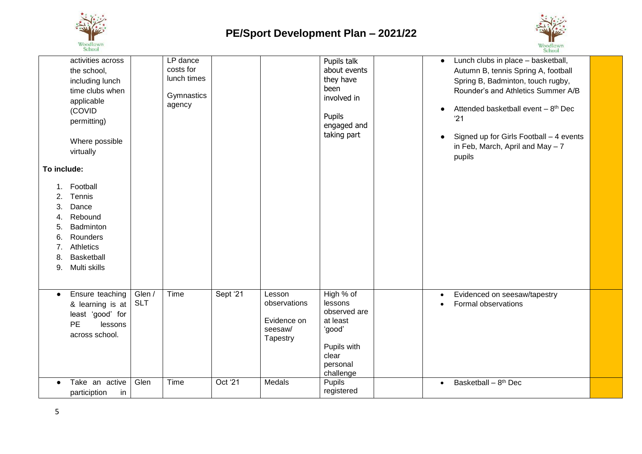



|                                                             |                                                                                                                                                                                                                                                            |                      |                                                              |          |                                                              |                                                                                                             | <b>PELIPOL</b>                                                                                                                                                                                                                                                                                                        |  |
|-------------------------------------------------------------|------------------------------------------------------------------------------------------------------------------------------------------------------------------------------------------------------------------------------------------------------------|----------------------|--------------------------------------------------------------|----------|--------------------------------------------------------------|-------------------------------------------------------------------------------------------------------------|-----------------------------------------------------------------------------------------------------------------------------------------------------------------------------------------------------------------------------------------------------------------------------------------------------------------------|--|
| To include:<br>2.<br>3.<br>4.<br>5.<br>6.<br>7.<br>8.<br>9. | activities across<br>the school,<br>including lunch<br>time clubs when<br>applicable<br>(COVID<br>permitting)<br>Where possible<br>virtually<br>Football<br>Tennis<br>Dance<br>Rebound<br>Badminton<br>Rounders<br>Athletics<br>Basketball<br>Multi skills |                      | LP dance<br>costs for<br>lunch times<br>Gymnastics<br>agency |          |                                                              | Pupils talk<br>about events<br>they have<br>been<br>involved in<br>Pupils<br>engaged and<br>taking part     | Lunch clubs in place - basketball,<br>$\bullet$<br>Autumn B, tennis Spring A, football<br>Spring B, Badminton, touch rugby,<br>Rounder's and Athletics Summer A/B<br>Attended basketball event - 8 <sup>th</sup> Dec<br>'21<br>Signed up for Girls Football - 4 events<br>in Feb, March, April and May $-7$<br>pupils |  |
| $\bullet$                                                   | Ensure teaching<br>& learning is at<br>least 'good' for<br>PE<br>lessons<br>across school.                                                                                                                                                                 | Glen /<br><b>SLT</b> | Time                                                         | Sept '21 | Lesson<br>observations<br>Evidence on<br>seesaw/<br>Tapestry | High % of<br>lessons<br>observed are<br>at least<br>'good'<br>Pupils with<br>clear<br>personal<br>challenge | Evidenced on seesaw/tapestry<br>$\bullet$<br>Formal observations                                                                                                                                                                                                                                                      |  |
|                                                             | Take an active<br>particiption<br>in                                                                                                                                                                                                                       | Glen                 | Time                                                         | Oct '21  | Medals                                                       | Pupils<br>registered                                                                                        | Basketball - 8 <sup>th</sup> Dec                                                                                                                                                                                                                                                                                      |  |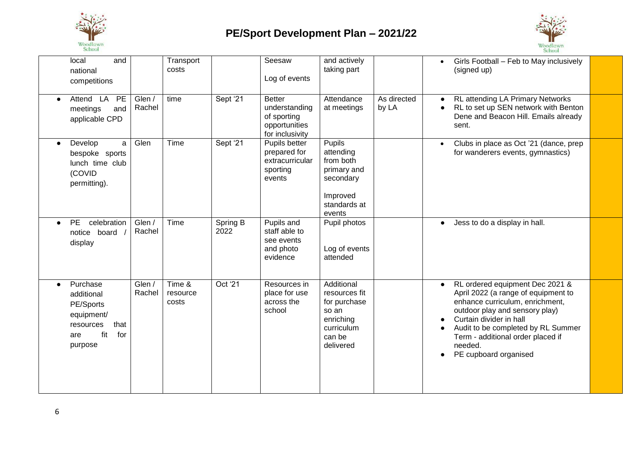



| local<br>national<br>competitions                                                                    | and                                  | Transport<br>costs          |                  | Seesaw<br>Log of events                                                           | and actively<br>taking part                                                                               |                      | Girls Football - Feb to May inclusively<br>(signed up)                                                                                                                                                                                                                                |  |
|------------------------------------------------------------------------------------------------------|--------------------------------------|-----------------------------|------------------|-----------------------------------------------------------------------------------|-----------------------------------------------------------------------------------------------------------|----------------------|---------------------------------------------------------------------------------------------------------------------------------------------------------------------------------------------------------------------------------------------------------------------------------------|--|
| Attend LA<br>$\bullet$<br>meetings<br>applicable CPD                                                 | Glen /<br><b>PE</b><br>Rachel<br>and | time                        | Sept '21         | <b>Better</b><br>understanding<br>of sporting<br>opportunities<br>for inclusivity | Attendance<br>at meetings                                                                                 | As directed<br>by LA | RL attending LA Primary Networks<br>RL to set up SEN network with Benton<br>Dene and Beacon Hill. Emails already<br>sent.                                                                                                                                                             |  |
| Develop<br>$\bullet$<br>bespoke sports<br>lunch time club<br>(COVID<br>permitting).                  | Glen<br>a                            | Time                        | Sept '21         | Pupils better<br>prepared for<br>extracurricular<br>sporting<br>events            | <b>Pupils</b><br>attending<br>from both<br>primary and<br>secondary<br>Improved<br>standards at<br>events |                      | Clubs in place as Oct '21 (dance, prep<br>for wanderers events, gymnastics)                                                                                                                                                                                                           |  |
| celebration<br><b>PE</b><br>$\bullet$<br>board<br>notice<br>display                                  | Glen /<br>Rachel                     | Time                        | Spring B<br>2022 | Pupils and<br>staff able to<br>see events<br>and photo<br>evidence                | Pupil photos<br>Log of events<br>attended                                                                 |                      | Jess to do a display in hall.                                                                                                                                                                                                                                                         |  |
| Purchase<br>$\bullet$<br>additional<br>PE/Sports<br>equipment/<br>resources<br>fit<br>are<br>purpose | Glen /<br>Rachel<br>that<br>for      | Time &<br>resource<br>costs | Oct '21          | Resources in<br>place for use<br>across the<br>school                             | Additional<br>resources fit<br>for purchase<br>so an<br>enriching<br>curriculum<br>can be<br>delivered    |                      | RL ordered equipment Dec 2021 &<br>April 2022 (a range of equipment to<br>enhance curriculum, enrichment,<br>outdoor play and sensory play)<br>Curtain divider in hall<br>Audit to be completed by RL Summer<br>Term - additional order placed if<br>needed.<br>PE cupboard organised |  |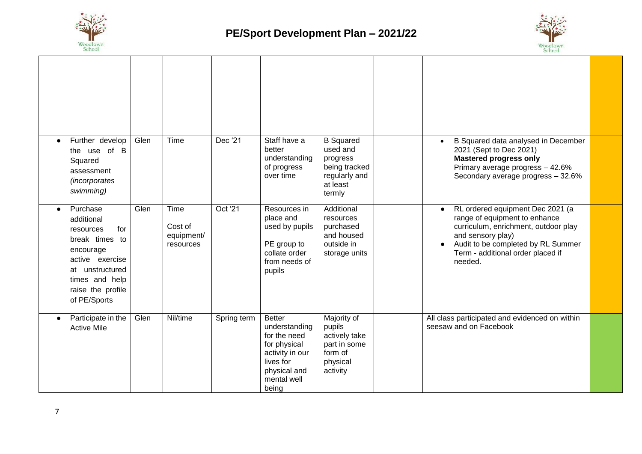



| Further develop<br>the use of B<br>Squared<br>assessment<br><i>(incorporates)</i><br>swimming)                                                                         | Glen | Time                                       | Dec '21     | Staff have a<br>better<br>understanding<br>of progress<br>over time                                                                    | <b>B</b> Squared<br>used and<br>progress<br>being tracked<br>regularly and<br>at least<br>termly | B Squared data analysed in December<br>2021 (Sept to Dec 2021)<br><b>Mastered progress only</b><br>Primary average progress - 42.6%<br>Secondary average progress - 32.6%                                                         |  |
|------------------------------------------------------------------------------------------------------------------------------------------------------------------------|------|--------------------------------------------|-------------|----------------------------------------------------------------------------------------------------------------------------------------|--------------------------------------------------------------------------------------------------|-----------------------------------------------------------------------------------------------------------------------------------------------------------------------------------------------------------------------------------|--|
| Purchase<br>additional<br>for<br>resources<br>break times to<br>encourage<br>active exercise<br>at unstructured<br>times and help<br>raise the profile<br>of PE/Sports | Glen | Time<br>Cost of<br>equipment/<br>resources | Oct '21     | Resources in<br>place and<br>used by pupils<br>PE group to<br>collate order<br>from needs of<br>pupils                                 | Additional<br>resources<br>purchased<br>and housed<br>outside in<br>storage units                | RL ordered equipment Dec 2021 (a<br>$\bullet$<br>range of equipment to enhance<br>curriculum, enrichment, outdoor play<br>and sensory play)<br>Audit to be completed by RL Summer<br>Term - additional order placed if<br>needed. |  |
| Participate in the<br><b>Active Mile</b>                                                                                                                               | Glen | Nil/time                                   | Spring term | <b>Better</b><br>understanding<br>for the need<br>for physical<br>activity in our<br>lives for<br>physical and<br>mental well<br>being | Majority of<br>pupils<br>actively take<br>part in some<br>form of<br>physical<br>activity        | All class participated and evidenced on within<br>seesaw and on Facebook                                                                                                                                                          |  |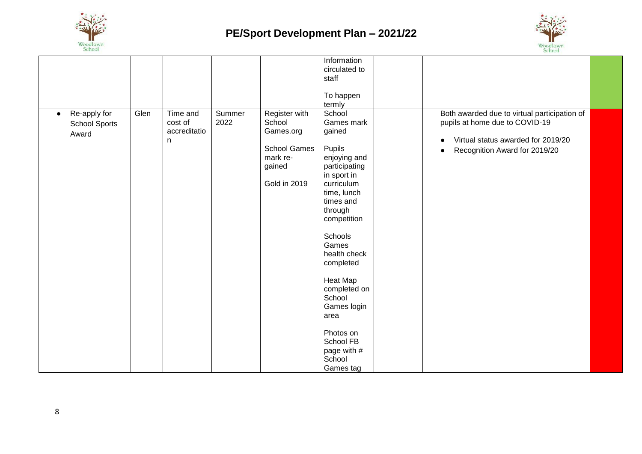



|                                                            |      |                                           |                |                                                                                                   | Information<br>circulated to<br>staff<br>To happen<br>termly                                                                                                                                                                                                                                                                                      |                                                                                                                                                       |  |
|------------------------------------------------------------|------|-------------------------------------------|----------------|---------------------------------------------------------------------------------------------------|---------------------------------------------------------------------------------------------------------------------------------------------------------------------------------------------------------------------------------------------------------------------------------------------------------------------------------------------------|-------------------------------------------------------------------------------------------------------------------------------------------------------|--|
| Re-apply for<br>$\bullet$<br><b>School Sports</b><br>Award | Glen | Time and<br>cost of<br>accreditatio<br>n. | Summer<br>2022 | Register with<br>School<br>Games.org<br><b>School Games</b><br>mark re-<br>gained<br>Gold in 2019 | School<br>Games mark<br>gained<br>Pupils<br>enjoying and<br>participating<br>in sport in<br>curriculum<br>time, lunch<br>times and<br>through<br>competition<br>Schools<br>Games<br>health check<br>completed<br><b>Heat Map</b><br>completed on<br>School<br>Games login<br>area<br>Photos on<br>School FB<br>page with #<br>School<br>Games tag | Both awarded due to virtual participation of<br>pupils at home due to COVID-19<br>Virtual status awarded for 2019/20<br>Recognition Award for 2019/20 |  |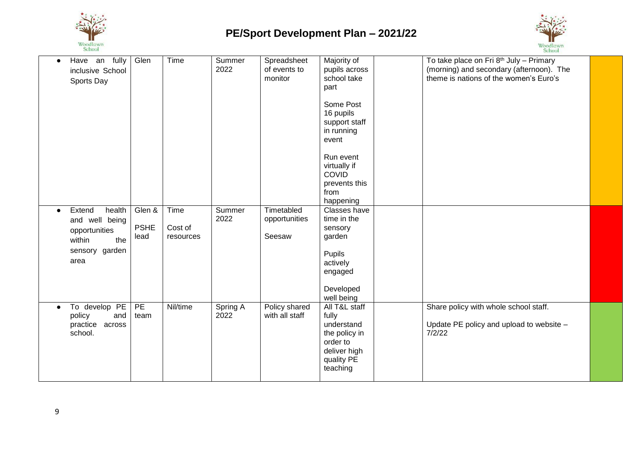



| Have an fully<br>$\bullet$<br>inclusive School<br>Sports Day                               |               | Glen                          | Time                         | Summer<br>2022   | Spreadsheet<br>of events to<br>monitor | Majority of<br>pupils across<br>school take<br>part                                                          | To take place on Fri 8th July - Primary<br>(morning) and secondary (afternoon). The<br>theme is nations of the women's Euro's |  |
|--------------------------------------------------------------------------------------------|---------------|-------------------------------|------------------------------|------------------|----------------------------------------|--------------------------------------------------------------------------------------------------------------|-------------------------------------------------------------------------------------------------------------------------------|--|
|                                                                                            |               |                               |                              |                  |                                        | Some Post<br>16 pupils<br>support staff<br>in running<br>event                                               |                                                                                                                               |  |
|                                                                                            |               |                               |                              |                  |                                        | Run event<br>virtually if<br><b>COVID</b><br>prevents this<br>from<br>happening                              |                                                                                                                               |  |
| Extend<br>$\bullet$<br>and well being<br>opportunities<br>within<br>sensory garden<br>area | health<br>the | Glen &<br><b>PSHE</b><br>lead | Time<br>Cost of<br>resources | Summer<br>2022   | Timetabled<br>opportunities<br>Seesaw  | Classes have<br>time in the<br>sensory<br>garden<br>Pupils<br>actively<br>engaged<br>Developed<br>well being |                                                                                                                               |  |
| To develop PE<br>$\bullet$<br>policy<br>practice across<br>school.                         | and           | PE<br>team                    | Nil/time                     | Spring A<br>2022 | Policy shared<br>with all staff        | All T&L staff<br>fully<br>understand<br>the policy in<br>order to<br>deliver high<br>quality PE<br>teaching  | Share policy with whole school staff.<br>Update PE policy and upload to website -<br>7/2/22                                   |  |